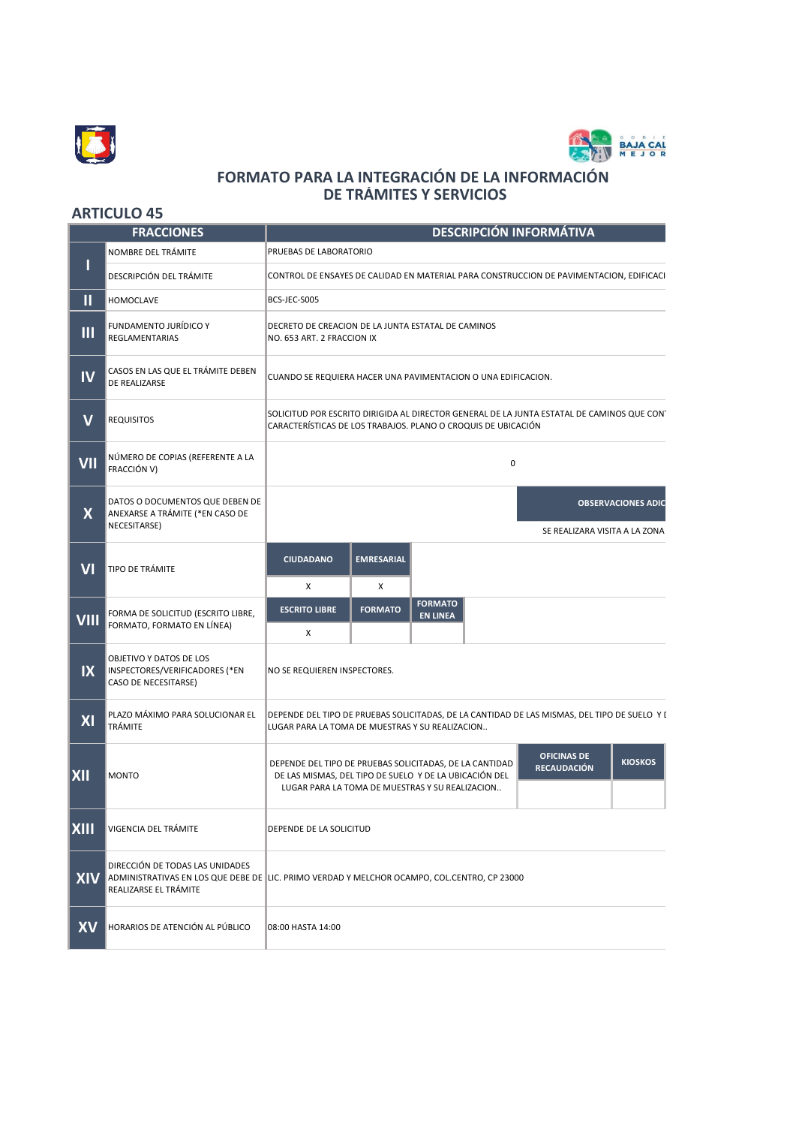



## **FORMATO PARA LA INTEGRACIÓN DE LA INFORMACIÓN DE TRÁMITES Y SERVICIOS**

## **ARTICULO 45**

| <b>FRACCIONES</b> |                                                                                    | <b>DESCRIPCIÓN INFORMÁTIVA</b>                                                                                                                                                                                                     |
|-------------------|------------------------------------------------------------------------------------|------------------------------------------------------------------------------------------------------------------------------------------------------------------------------------------------------------------------------------|
|                   | NOMBRE DEL TRÁMITE                                                                 | PRUEBAS DE LABORATORIO                                                                                                                                                                                                             |
|                   | DESCRIPCIÓN DEL TRÁMITE                                                            | CONTROL DE ENSAYES DE CALIDAD EN MATERIAL PARA CONSTRUCCION DE PAVIMENTACION, EDIFICACI <sup>,</sup>                                                                                                                               |
| П                 | <b>HOMOCLAVE</b>                                                                   | BCS-JEC-S005                                                                                                                                                                                                                       |
| $\mathbf{m}$      | <b>FUNDAMENTO JURÍDICO Y</b><br>REGLAMENTARIAS                                     | DECRETO DE CREACION DE LA JUNTA ESTATAL DE CAMINOS<br>NO. 653 ART. 2 FRACCION IX                                                                                                                                                   |
| <b>IV</b>         | CASOS EN LAS QUE EL TRÁMITE DEBEN<br><b>DE REALIZARSE</b>                          | CUANDO SE REQUIERA HACER UNA PAVIMENTACION O UNA EDIFICACION.                                                                                                                                                                      |
| $\mathbf V$       | <b>REQUISITOS</b>                                                                  | SOLICITUD POR ESCRITO DIRIGIDA AL DIRECTOR GENERAL DE LA JUNTA ESTATAL DE CAMINOS QUE CONT<br>CARACTERÍSTICAS DE LOS TRABAJOS. PLANO O CROQUIS DE UBICACIÓN                                                                        |
| VII               | NÚMERO DE COPIAS (REFERENTE A LA<br>FRACCIÓN V)                                    | 0                                                                                                                                                                                                                                  |
| $\mathsf{X}$      | DATOS O DOCUMENTOS QUE DEBEN DE<br>ANEXARSE A TRÁMITE (*EN CASO DE<br>NECESITARSE) | <b>OBSERVACIONES ADIC</b><br>SE REALIZARA VISITA A LA ZONA                                                                                                                                                                         |
| VI                | <b>TIPO DE TRÁMITE</b>                                                             | <b>CIUDADANO</b><br><b>EMRESARIAL</b><br>X<br>х                                                                                                                                                                                    |
| <b>VIII</b>       | FORMA DE SOLICITUD (ESCRITO LIBRE,<br>FORMATO, FORMATO EN LÍNEA)                   | <b>FORMATO</b><br><b>ESCRITO LIBRE</b><br><b>FORMATO</b><br><b>EN LINEA</b><br>X                                                                                                                                                   |
| IX                | OBJETIVO Y DATOS DE LOS<br>INSPECTORES/VERIFICADORES (*EN<br>CASO DE NECESITARSE)  | NO SE REQUIEREN INSPECTORES.                                                                                                                                                                                                       |
| XI                | PLAZO MÁXIMO PARA SOLUCIONAR EL<br>TRÁMITE                                         | DEPENDE DEL TIPO DE PRUEBAS SOLICITADAS, DE LA CANTIDAD DE LAS MISMAS, DEL TIPO DE SUELO Y I<br>LUGAR PARA LA TOMA DE MUESTRAS Y SU REALIZACION                                                                                    |
| XII               | <b>MONTO</b>                                                                       | <b>OFICINAS DE</b><br><b>KIOSKOS</b><br>DEPENDE DEL TIPO DE PRUEBAS SOLICITADAS, DE LA CANTIDAD<br><b>RECAUDACIÓN</b><br>DE LAS MISMAS, DEL TIPO DE SUELO Y DE LA UBICACIÓN DEL<br>LUGAR PARA LA TOMA DE MUESTRAS Y SU REALIZACION |
| <b>XIII</b>       | VIGENCIA DEL TRÁMITE                                                               | DEPENDE DE LA SOLICITUD                                                                                                                                                                                                            |
|                   | DIRECCIÓN DE TODAS LAS UNIDADES<br>REALIZARSE EL TRÁMITE                           | XIV ADMINISTRATIVAS EN LOS QUE DEBE DE LIC. PRIMO VERDAD Y MELCHOR OCAMPO, COL.CENTRO, CP 23000                                                                                                                                    |
| <b>XV</b>         | HORARIOS DE ATENCIÓN AL PÚBLICO                                                    | 08:00 HASTA 14:00                                                                                                                                                                                                                  |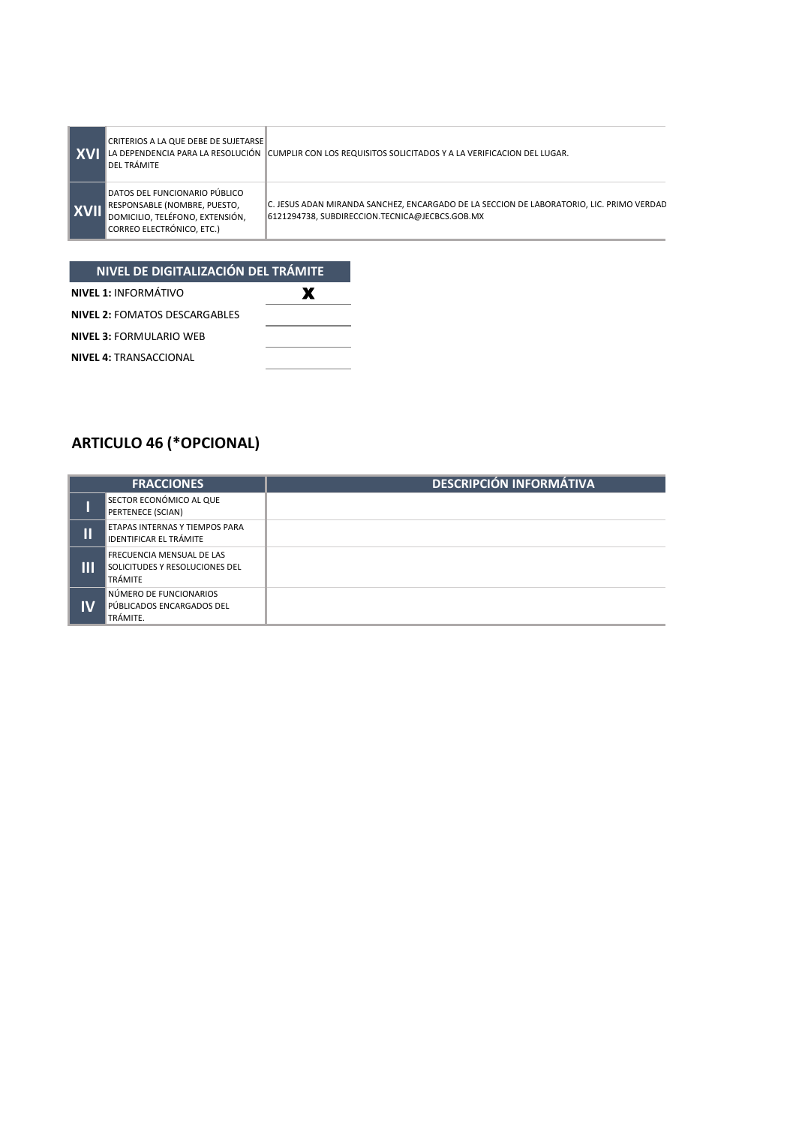|             | CRITERIOS A LA QUE DEBE DE SUJETARSE<br><b>DEL TRÁMITE</b>                                                                           | LA DEPENDENCIA PARA LA RESOLUCIÓN   CUMPLIR CON LOS REQUISITOS SOLICITADOS Y A LA VERIFICACION DEL LUGAR.                                  |
|-------------|--------------------------------------------------------------------------------------------------------------------------------------|--------------------------------------------------------------------------------------------------------------------------------------------|
| <b>XVII</b> | DATOS DEL FUNCIONARIO PÚBLICO<br>RESPONSABLE (NOMBRE, PUESTO,<br>DOMICILIO, TELÉFONO, EXTENSIÓN,<br><b>CORREO ELECTRÓNICO. ETC.)</b> | C. JESUS ADAN MIRANDA SANCHEZ, ENCARGADO DE LA SECCION DE LABORATORIO, LIC. PRIMO VERDAD<br>6121294738, SUBDIRECCION.TECNICA@JECBCS.GOB.MX |

## **NIVEL DE DIGITALIZACIÓN DEL TRÁMITE**

| <b>NIVEL 1: INFORMÁTIVO</b>          |  |
|--------------------------------------|--|
| <b>NIVEL 2: FOMATOS DESCARGABLES</b> |  |
| <b>NIVEL 3: FORMULARIO WEB</b>       |  |
| <b>NIVEL 4: TRANSACCIONAL</b>        |  |

## **ARTICULO 46 (\*OPCIONAL)**

| <b>FRACCIONES</b> |                                                                               | <b>DESCRIPCIÓN INFORMÁTIVA</b> |
|-------------------|-------------------------------------------------------------------------------|--------------------------------|
|                   | SECTOR ECONÓMICO AL QUE<br>PERTENECE (SCIAN)                                  |                                |
| П                 | ETAPAS INTERNAS Y TIEMPOS PARA<br><b>IDENTIFICAR EL TRÁMITE</b>               |                                |
|                   | <b>FRECUENCIA MENSUAL DE LAS</b><br>SOLICITUDES Y RESOLUCIONES DEL<br>TRÁMITE |                                |
| ΙV                | NÚMERO DE FUNCIONARIOS<br>PÚBLICADOS ENCARGADOS DEL<br>TRÁMITE.               |                                |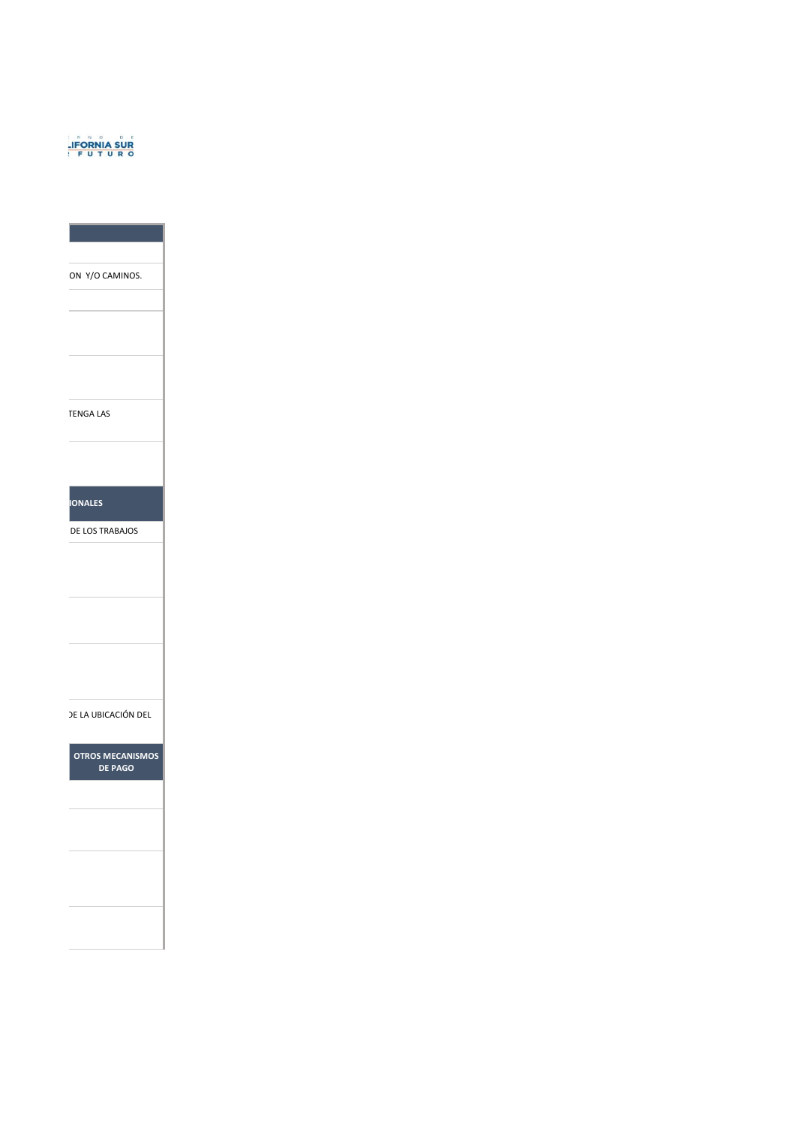

ON Y/O CAMINOS.

TENGA LAS

**IONALES** 

DE LOS TRABAJOS

DE LA UBICACIÓN DE L

**OTROS MECANISMOS DE PAGO**